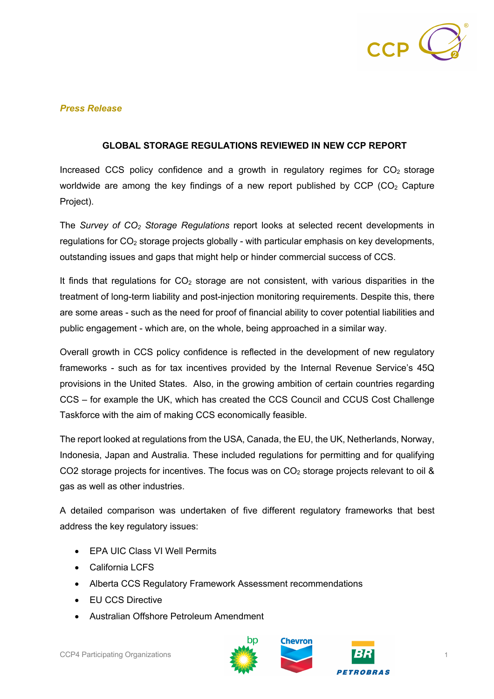

## *Press Release*

## **GLOBAL STORAGE REGULATIONS REVIEWED IN NEW CCP REPORT**

Increased CCS policy confidence and a growth in regulatory regimes for  $CO<sub>2</sub>$  storage worldwide are among the key findings of a new report published by  $CCP$  ( $CO<sub>2</sub>$  Capture Project).

The *Survey of CO2 Storage Regulations* report looks at selected recent developments in regulations for CO<sub>2</sub> storage projects globally - with particular emphasis on key developments, outstanding issues and gaps that might help or hinder commercial success of CCS.

It finds that regulations for  $CO<sub>2</sub>$  storage are not consistent, with various disparities in the treatment of long-term liability and post-injection monitoring requirements. Despite this, there are some areas - such as the need for proof of financial ability to cover potential liabilities and public engagement - which are, on the whole, being approached in a similar way.

Overall growth in CCS policy confidence is reflected in the development of new regulatory frameworks - such as for tax incentives provided by the Internal Revenue Service's 45Q provisions in the United States. Also, in the growing ambition of certain countries regarding CCS – for example the UK, which has created the CCS Council and CCUS Cost Challenge Taskforce with the aim of making CCS economically feasible.

The report looked at regulations from the USA, Canada, the EU, the UK, Netherlands, Norway, Indonesia, Japan and Australia. These included regulations for permitting and for qualifying CO2 storage projects for incentives. The focus was on  $CO<sub>2</sub>$  storage projects relevant to oil & gas as well as other industries.

A detailed comparison was undertaken of five different regulatory frameworks that best address the key regulatory issues:

- EPA UIC Class VI Well Permits
- California LCFS
- Alberta CCS Regulatory Framework Assessment recommendations
- EU CCS Directive
- Australian Offshore Petroleum Amendment